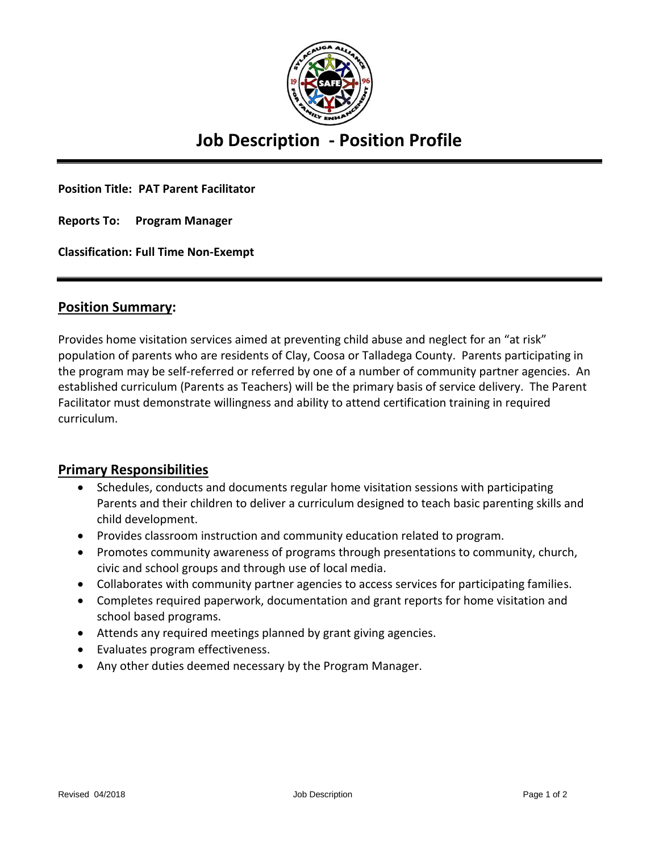

# **Job Description - Position Profile**

**Position Title: PAT Parent Facilitator**

**Reports To: Program Manager**

**Classification: Full Time Non-Exempt**

#### **Position Summary:**

Provides home visitation services aimed at preventing child abuse and neglect for an "at risk" population of parents who are residents of Clay, Coosa or Talladega County. Parents participating in the program may be self-referred or referred by one of a number of community partner agencies. An established curriculum (Parents as Teachers) will be the primary basis of service delivery. The Parent Facilitator must demonstrate willingness and ability to attend certification training in required curriculum.

### **Primary Responsibilities**

- Schedules, conducts and documents regular home visitation sessions with participating Parents and their children to deliver a curriculum designed to teach basic parenting skills and child development.
- Provides classroom instruction and community education related to program.
- Promotes community awareness of programs through presentations to community, church, civic and school groups and through use of local media.
- Collaborates with community partner agencies to access services for participating families.
- Completes required paperwork, documentation and grant reports for home visitation and school based programs.
- Attends any required meetings planned by grant giving agencies.
- Evaluates program effectiveness.
- Any other duties deemed necessary by the Program Manager.